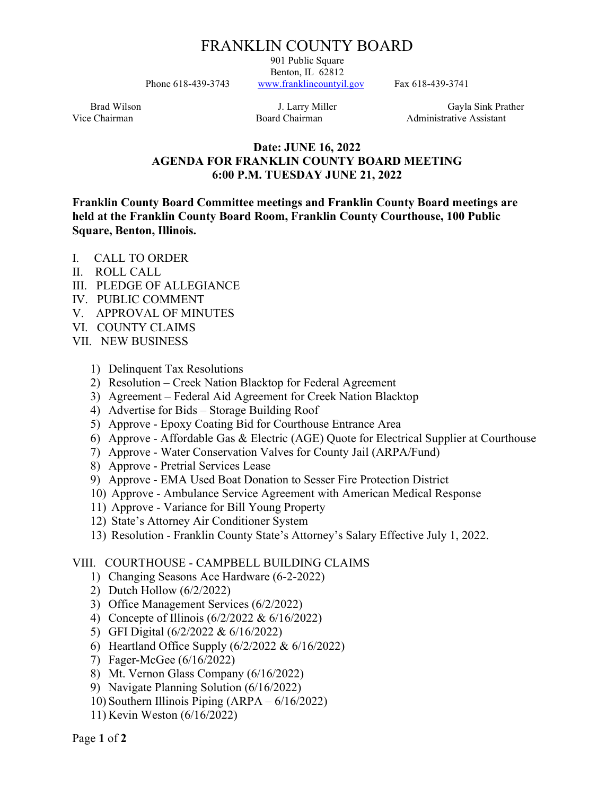# FRANKLIN COUNTY BOARD

901 Public Square Benton, IL 62812 Phone 618-439-3743 www.franklincountyil.gov Fax 618-439-3741

Brad Wilson **I. Larry Miller** Gayla Sink Prather Vice Chairman **Board Chairman** Board Chairman Administrative Assistant

### Date: JUNE 16, 2022 AGENDA FOR FRANKLIN COUNTY BOARD MEETING 6:00 P.M. TUESDAY JUNE 21, 2022

Franklin County Board Committee meetings and Franklin County Board meetings are held at the Franklin County Board Room, Franklin County Courthouse, 100 Public Square, Benton, Illinois.

- I. CALL TO ORDER
- II. ROLL CALL
- III. PLEDGE OF ALLEGIANCE
- IV. PUBLIC COMMENT
- V. APPROVAL OF MINUTES
- VI. COUNTY CLAIMS
- VII. NEW BUSINESS
	- 1) Delinquent Tax Resolutions
	- 2) Resolution Creek Nation Blacktop for Federal Agreement
	- 3) Agreement Federal Aid Agreement for Creek Nation Blacktop
	- 4) Advertise for Bids Storage Building Roof
	- 5) Approve Epoxy Coating Bid for Courthouse Entrance Area
	- 6) Approve Affordable Gas & Electric (AGE) Quote for Electrical Supplier at Courthouse
	- 7) Approve Water Conservation Valves for County Jail (ARPA/Fund)
	- 8) Approve Pretrial Services Lease
	- 9) Approve EMA Used Boat Donation to Sesser Fire Protection District
	- 10) Approve Ambulance Service Agreement with American Medical Response
	- 11) Approve Variance for Bill Young Property
	- 12) State's Attorney Air Conditioner System
	- 13) Resolution Franklin County State's Attorney's Salary Effective July 1, 2022.

### VIII. COURTHOUSE - CAMPBELL BUILDING CLAIMS

- 1) Changing Seasons Ace Hardware (6-2-2022)
- 2) Dutch Hollow (6/2/2022)
- 3) Office Management Services (6/2/2022)
- 4) Concepte of Illinois (6/2/2022 & 6/16/2022)
- 5) GFI Digital (6/2/2022 & 6/16/2022)
- 6) Heartland Office Supply (6/2/2022 & 6/16/2022)
- 7) Fager-McGee (6/16/2022)
- 8) Mt. Vernon Glass Company (6/16/2022)
- 9) Navigate Planning Solution (6/16/2022)
- 10) Southern Illinois Piping (ARPA 6/16/2022)
- 11) Kevin Weston (6/16/2022)